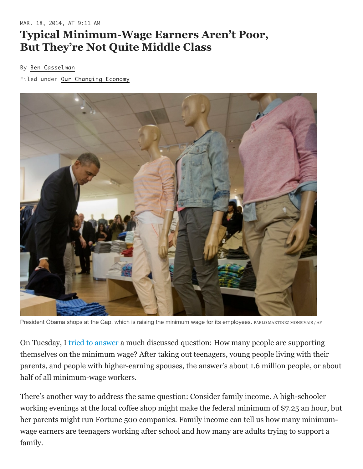## **Typical Minimum-Wage Earners Aren't Poor, But They're Not Quite Middle Class**

## By Ben [Casselman](https://fivethirtyeight.com/contributors/ben-casselman/)

Filed under Our [Changing](https://fivethirtyeight.com/tag/our-changing-economy/) Economy



President Obama shops at the Gap, which is raising the minimum wage for its employees. PABLO MARTINEZ MONSIVAIS / AP

On Tuesday, I [tried to answer](https://fivethirtyeight.com/features/when-living-wage-is-minimum-wage/) a much discussed question: How many people are supporting themselves on the minimum wage? After taking out teenagers, young people living with their parents, and people with higher-earning spouses, the answer's about 1.6 million people, or about half of all minimum-wage workers.

There's another way to address the same question: Consider family income. A high-schooler working evenings at the local coffee shop might make the federal minimum of \$7.25 an hour, but her parents might run Fortune 500 companies. Family income can tell us how many minimumwage earners are teenagers working after school and how many are adults trying to support a family.